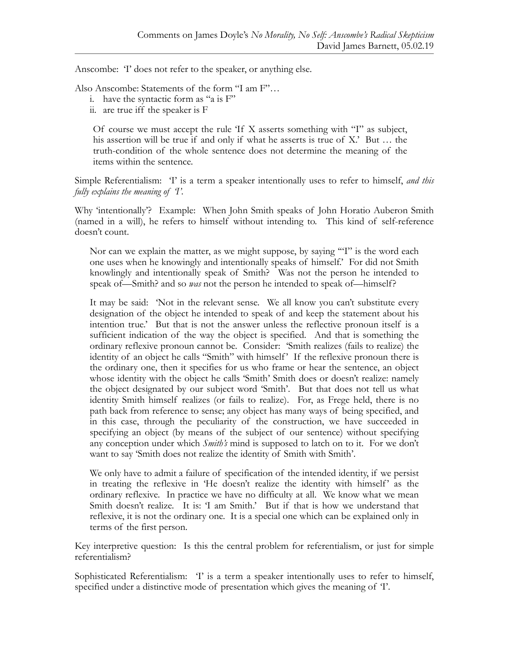Anscombe: 'I' does not refer to the speaker, or anything else.

Also Anscombe: Statements of the form "I am F"…

- i. have the syntactic form as "a is F"
- ii. are true iff the speaker is F

Of course we must accept the rule 'If X asserts something with "I" as subject, his assertion will be true if and only if what he asserts is true of X.' But … the truth-condition of the whole sentence does not determine the meaning of the items within the sentence.

Simple Referentialism: 'I' is a term a speaker intentionally uses to refer to himself, *and this fully explains the meaning of 'I'*.

Why 'intentionally'? Example: When John Smith speaks of John Horatio Auberon Smith (named in a will), he refers to himself without intending to. This kind of self-reference doesn't count.

Nor can we explain the matter, as we might suppose, by saying '"I" is the word each one uses when he knowingly and intentionally speaks of himself.' For did not Smith knowlingly and intentionally speak of Smith? Was not the person he intended to speak of—Smith? and so *was* not the person he intended to speak of—himself?

It may be said: 'Not in the relevant sense. We all know you can't substitute every designation of the object he intended to speak of and keep the statement about his intention true.' But that is not the answer unless the reflective pronoun itself is a sufficient indication of the way the object is specified. And that is something the ordinary reflexive pronoun cannot be. Consider: 'Smith realizes (fails to realize) the identity of an object he calls "Smith" with himself' If the reflexive pronoun there is the ordinary one, then it specifies for us who frame or hear the sentence, an object whose identity with the object he calls 'Smith' Smith does or doesn't realize: namely the object designated by our subject word 'Smith'. But that does not tell us what identity Smith himself realizes (or fails to realize). For, as Frege held, there is no path back from reference to sense; any object has many ways of being specified, and in this case, through the peculiarity of the construction, we have succeeded in specifying an object (by means of the subject of our sentence) without specifying any conception under which *Smith's* mind is supposed to latch on to it. For we don't want to say 'Smith does not realize the identity of Smith with Smith'.

We only have to admit a failure of specification of the intended identity, if we persist in treating the reflexive in 'He doesn't realize the identity with himself' as the ordinary reflexive. In practice we have no difficulty at all. We know what we mean Smith doesn't realize. It is: 'I am Smith.' But if that is how we understand that reflexive, it is not the ordinary one. It is a special one which can be explained only in terms of the first person.

Key interpretive question: Is this the central problem for referentialism, or just for simple referentialism?

Sophisticated Referentialism: 'I' is a term a speaker intentionally uses to refer to himself, specified under a distinctive mode of presentation which gives the meaning of 'I'.